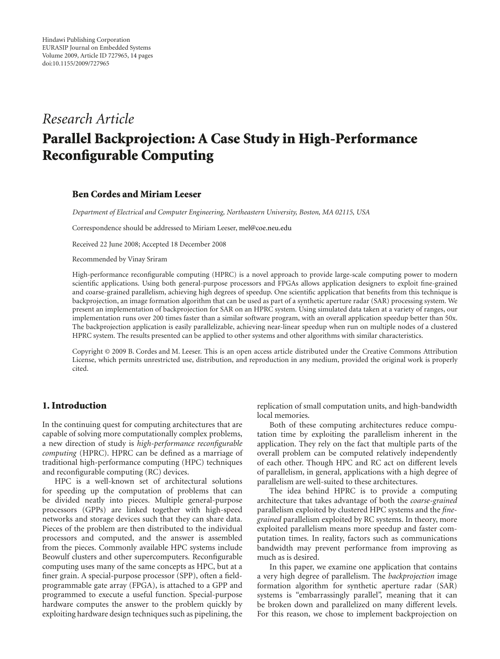## *Research Article*

# **Parallel Backprojection: A Case Study in High-Performance Reconfigurable Computing**

#### **Ben Cordes and Miriam Leeser**

*Department of Electrical and Computer Engineering, Northeastern University, Boston, MA 02115, USA*

Correspondence should be addressed to Miriam Leeser, mel@coe.neu.edu

Received 22 June 2008; Accepted 18 December 2008

Recommended by Vinay Sriram

High-performance reconfigurable computing (HPRC) is a novel approach to provide large-scale computing power to modern scientific applications. Using both general-purpose processors and FPGAs allows application designers to exploit fine-grained and coarse-grained parallelism, achieving high degrees of speedup. One scientific application that benefits from this technique is backprojection, an image formation algorithm that can be used as part of a synthetic aperture radar (SAR) processing system. We present an implementation of backprojection for SAR on an HPRC system. Using simulated data taken at a variety of ranges, our implementation runs over 200 times faster than a similar software program, with an overall application speedup better than 50x. The backprojection application is easily parallelizable, achieving near-linear speedup when run on multiple nodes of a clustered HPRC system. The results presented can be applied to other systems and other algorithms with similar characteristics.

Copyright © 2009 B. Cordes and M. Leeser. This is an open access article distributed under the Creative Commons Attribution License, which permits unrestricted use, distribution, and reproduction in any medium, provided the original work is properly cited.

### **1. Introduction**

In the continuing quest for computing architectures that are capable of solving more computationally complex problems, a new direction of study is *high-performance reconfigurable computing* (HPRC). HPRC can be defined as a marriage of traditional high-performance computing (HPC) techniques and reconfigurable computing (RC) devices.

HPC is a well-known set of architectural solutions for speeding up the computation of problems that can be divided neatly into pieces. Multiple general-purpose processors (GPPs) are linked together with high-speed networks and storage devices such that they can share data. Pieces of the problem are then distributed to the individual processors and computed, and the answer is assembled from the pieces. Commonly available HPC systems include Beowulf clusters and other supercomputers. Reconfigurable computing uses many of the same concepts as HPC, but at a finer grain. A special-purpose processor (SPP), often a fieldprogrammable gate array (FPGA), is attached to a GPP and programmed to execute a useful function. Special-purpose hardware computes the answer to the problem quickly by exploiting hardware design techniques such as pipelining, the

replication of small computation units, and high-bandwidth local memories.

Both of these computing architectures reduce computation time by exploiting the parallelism inherent in the application. They rely on the fact that multiple parts of the overall problem can be computed relatively independently of each other. Though HPC and RC act on different levels of parallelism, in general, applications with a high degree of parallelism are well-suited to these architectures.

The idea behind HPRC is to provide a computing architecture that takes advantage of both the *coarse-grained* parallelism exploited by clustered HPC systems and the *finegrained* parallelism exploited by RC systems. In theory, more exploited parallelism means more speedup and faster computation times. In reality, factors such as communications bandwidth may prevent performance from improving as much as is desired.

In this paper, we examine one application that contains a very high degree of parallelism. The *backprojection* image formation algorithm for synthetic aperture radar (SAR) systems is "embarrassingly parallel", meaning that it can be broken down and parallelized on many different levels. For this reason, we chose to implement backprojection on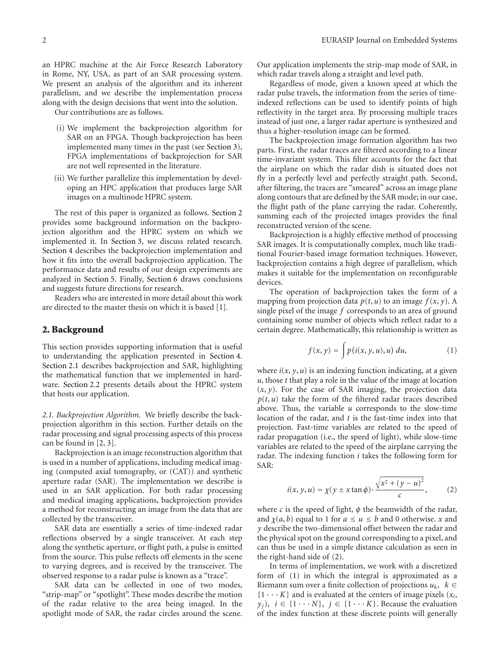Our contributions are as follows.

- (i) We implement the backprojection algorithm for SAR on an FPGA. Though backprojection has been implemented many times in the past (see Section 3), FPGA implementations of backprojection for SAR are not well represented in the literature.
- (ii) We further parallelize this implementation by developing an HPC application that produces large SAR images on a multinode HPRC system.

The rest of this paper is organized as follows. Section 2 provides some background information on the backprojection algorithm and the HPRC system on which we implemented it. In Section 3, we discuss related research. Section 4 describes the backprojection implementation and how it fits into the overall backprojection application. The performance data and results of our design experiments are analyzed in Section 5. Finally, Section 6 draws conclusions and suggests future directions for research.

Readers who are interested in more detail about this work are directed to the master thesis on which it is based [1].

#### **2. Background**

This section provides supporting information that is useful to understanding the application presented in Section 4. Section 2.1 describes backprojection and SAR, highlighting the mathematical function that we implemented in hardware. Section 2.2 presents details about the HPRC system that hosts our application.

*2.1. Backprojection Algorithm.* We briefly describe the backprojection algorithm in this section. Further details on the radar processing and signal processing aspects of this process can be found in [2, 3].

Backprojection is an image reconstruction algorithm that is used in a number of applications, including medical imaging (computed axial tomography, or (CAT)) and synthetic aperture radar (SAR). The implementation we describe is used in an SAR application. For both radar processing and medical imaging applications, backprojection provides a method for reconstructing an image from the data that are collected by the transceiver.

SAR data are essentially a series of time-indexed radar reflections observed by a single transceiver. At each step along the synthetic aperture, or flight path, a pulse is emitted from the source. This pulse reflects off elements in the scene to varying degrees, and is received by the transceiver. The observed response to a radar pulse is known as a "trace".

SAR data can be collected in one of two modes, "strip-map" or "spotlight". These modes describe the motion of the radar relative to the area being imaged. In the spotlight mode of SAR, the radar circles around the scene.

Our application implements the strip-map mode of SAR, in which radar travels along a straight and level path.

Regardless of mode, given a known speed at which the radar pulse travels, the information from the series of timeindexed reflections can be used to identify points of high reflectivity in the target area. By processing multiple traces instead of just one, a larger radar aperture is synthesized and thus a higher-resolution image can be formed.

The backprojection image formation algorithm has two parts. First, the radar traces are filtered according to a linear time-invariant system. This filter accounts for the fact that the airplane on which the radar dish is situated does not fly in a perfectly level and perfectly straight path. Second, after filtering, the traces are "smeared" across an image plane along contours that are defined by the SAR mode; in our case, the flight path of the plane carrying the radar. Coherently, summing each of the projected images provides the final reconstructed version of the scene.

Backprojection is a highly effective method of processing SAR images. It is computationally complex, much like traditional Fourier-based image formation techniques. However, backprojection contains a high degree of parallelism, which makes it suitable for the implementation on reconfigurable devices.

The operation of backprojection takes the form of a mapping from projection data  $p(t, u)$  to an image  $f(x, y)$ . A single pixel of the image *f* corresponds to an area of ground containing some number of objects which reflect radar to a certain degree. Mathematically, this relationship is written as

$$
f(x, y) = \int p(i(x, y, u), u) du,
$$
 (1)

where  $i(x, y, u)$  is an indexing function indicating, at a given *u*, those *t* that play a role in the value of the image at location  $(x, y)$ . For the case of SAR imaging, the projection data  $p(t, u)$  take the form of the filtered radar traces described above. Thus, the variable *u* corresponds to the slow-time location of the radar, and *t* is the fast-time index into that projection. Fast-time variables are related to the speed of radar propagation (i.e., the speed of light), while slow-time variables are related to the speed of the airplane carrying the radar. The indexing function *i* takes the following form for SAR:

$$
i(x, y, u) = \chi(y \pm x \tan \phi) \cdot \frac{\sqrt{x^2 + (y - u)^2}}{c},
$$
 (2)

where *c* is the speed of light,  $\phi$  the beamwidth of the radar, and  $\chi(a, b)$  equal to 1 for  $a \le u \le b$  and 0 otherwise. *x* and *y* describe the two-dimensional offset between the radar and the physical spot on the ground corresponding to a pixel, and can thus be used in a simple distance calculation as seen in the right-hand side of (2).

In terms of implementation, we work with a discretized form of (1) in which the integral is approximated as a Riemann sum over a finite collection of projections  $u_k$ ,  $k \in$  ${1 \cdot \cdot \cdot K}$  and is evaluated at the centers of image pixels  $(x_i,$  $y_i$ ,  $i \in \{1 \cdots N\}$ ,  $j \in \{1 \cdots K\}$ . Because the evaluation of the index function at these discrete points will generally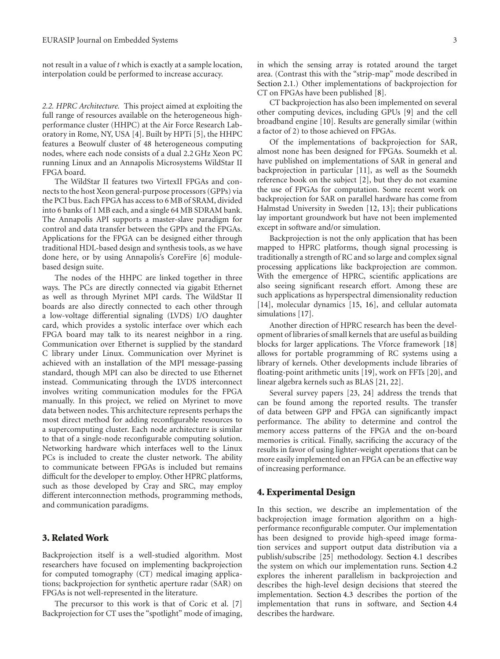not result in a value of *t* which is exactly at a sample location, interpolation could be performed to increase accuracy.

*2.2. HPRC Architecture.* This project aimed at exploiting the full range of resources available on the heterogeneous highperformance cluster (HHPC) at the Air Force Research Laboratory in Rome, NY, USA [4]. Built by HPTi [5], the HHPC features a Beowulf cluster of 48 heterogeneous computing nodes, where each node consists of a dual 2.2 GHz Xeon PC running Linux and an Annapolis Microsystems WildStar II FPGA board.

The WildStar II features two VirtexII FPGAs and connects to the host Xeon general-purpose processors (GPPs) via the PCI bus. Each FPGA has access to 6 MB of SRAM, divided into 6 banks of 1 MB each, and a single 64 MB SDRAM bank. The Annapolis API supports a master-slave paradigm for control and data transfer between the GPPs and the FPGAs. Applications for the FPGA can be designed either through traditional HDL-based design and synthesis tools, as we have done here, or by using Annapolis's CoreFire [6] modulebased design suite.

The nodes of the HHPC are linked together in three ways. The PCs are directly connected via gigabit Ethernet as well as through Myrinet MPI cards. The WildStar II boards are also directly connected to each other through a low-voltage differential signaling (LVDS) I/O daughter card, which provides a systolic interface over which each FPGA board may talk to its nearest neighbor in a ring. Communication over Ethernet is supplied by the standard C library under Linux. Communication over Myrinet is achieved with an installation of the MPI message-passing standard, though MPI can also be directed to use Ethernet instead. Communicating through the LVDS interconnect involves writing communication modules for the FPGA manually. In this project, we relied on Myrinet to move data between nodes. This architecture represents perhaps the most direct method for adding reconfigurable resources to a supercomputing cluster. Each node architecture is similar to that of a single-node reconfigurable computing solution. Networking hardware which interfaces well to the Linux PCs is included to create the cluster network. The ability to communicate between FPGAs is included but remains difficult for the developer to employ. Other HPRC platforms, such as those developed by Cray and SRC, may employ different interconnection methods, programming methods, and communication paradigms.

#### **3. Related Work**

Backprojection itself is a well-studied algorithm. Most researchers have focused on implementing backprojection for computed tomography (CT) medical imaging applications; backprojection for synthetic aperture radar (SAR) on FPGAs is not well-represented in the literature.

The precursor to this work is that of Coric et al. [7] Backprojection for CT uses the "spotlight" mode of imaging, in which the sensing array is rotated around the target area. (Contrast this with the "strip-map" mode described in

CT on FPGAs have been published [8]. CT backprojection has also been implemented on several other computing devices, including GPUs [9] and the cell broadband engine [10]. Results are generally similar (within a factor of 2) to those achieved on FPGAs.

Section 2.1.) Other implementations of backprojection for

Of the implementations of backprojection for SAR, almost none has been designed for FPGAs. Soumekh et al. have published on implementations of SAR in general and backprojection in particular [11], as well as the Soumekh reference book on the subject [2], but they do not examine the use of FPGAs for computation. Some recent work on backprojection for SAR on parallel hardware has come from Halmstad University in Sweden [12, 13]; their publications lay important groundwork but have not been implemented except in software and/or simulation.

Backprojection is not the only application that has been mapped to HPRC platforms, though signal processing is traditionally a strength of RC and so large and complex signal processing applications like backprojection are common. With the emergence of HPRC, scientific applications are also seeing significant research effort. Among these are such applications as hyperspectral dimensionality reduction [14], molecular dynamics [15, 16], and cellular automata simulations [17].

Another direction of HPRC research has been the development of libraries of small kernels that are useful as building blocks for larger applications. The Vforce framework [18] allows for portable programming of RC systems using a library of kernels. Other developments include libraries of floating-point arithmetic units [19], work on FFTs [20], and linear algebra kernels such as BLAS [21, 22].

Several survey papers [23, 24] address the trends that can be found among the reported results. The transfer of data between GPP and FPGA can significantly impact performance. The ability to determine and control the memory access patterns of the FPGA and the on-board memories is critical. Finally, sacrificing the accuracy of the results in favor of using lighter-weight operations that can be more easily implemented on an FPGA can be an effective way of increasing performance.

#### **4. Experimental Design**

In this section, we describe an implementation of the backprojection image formation algorithm on a highperformance reconfigurable computer. Our implementation has been designed to provide high-speed image formation services and support output data distribution via a publish/subscribe [25] methodology. Section 4.1 describes the system on which our implementation runs. Section 4.2 explores the inherent parallelism in backprojection and describes the high-level design decisions that steered the implementation. Section 4.3 describes the portion of the implementation that runs in software, and Section 4.4 describes the hardware.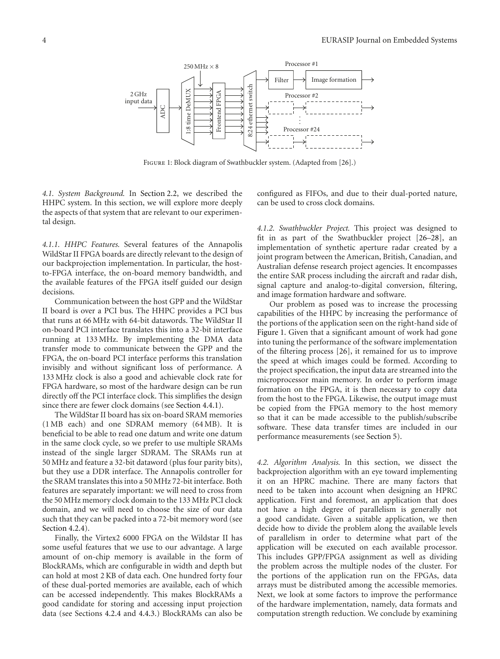

Figure 1: Block diagram of Swathbuckler system. (Adapted from [26].)

*4.1. System Background.* In Section 2.2, we described the HHPC system. In this section, we will explore more deeply the aspects of that system that are relevant to our experimental design.

*4.1.1. HHPC Features.* Several features of the Annapolis WildStar II FPGA boards are directly relevant to the design of our backprojection implementation. In particular, the hostto-FPGA interface, the on-board memory bandwidth, and the available features of the FPGA itself guided our design decisions.

Communication between the host GPP and the WildStar II board is over a PCI bus. The HHPC provides a PCI bus that runs at 66 MHz with 64-bit datawords. The WildStar II on-board PCI interface translates this into a 32-bit interface running at 133 MHz. By implementing the DMA data transfer mode to communicate between the GPP and the FPGA, the on-board PCI interface performs this translation invisibly and without significant loss of performance. A 133 MHz clock is also a good and achievable clock rate for FPGA hardware, so most of the hardware design can be run directly off the PCI interface clock. This simplifies the design since there are fewer clock domains (see Section 4.4.1).

The WildStar II board has six on-board SRAM memories (1 MB each) and one SDRAM memory (64 MB). It is beneficial to be able to read one datum and write one datum in the same clock cycle, so we prefer to use multiple SRAMs instead of the single larger SDRAM. The SRAMs run at 50 MHz and feature a 32-bit dataword (plus four parity bits), but they use a DDR interface. The Annapolis controller for the SRAM translates this into a 50 MHz 72-bit interface. Both features are separately important: we will need to cross from the 50 MHz memory clock domain to the 133 MHz PCI clock domain, and we will need to choose the size of our data such that they can be packed into a 72-bit memory word (see Section 4.2.4).

Finally, the Virtex2 6000 FPGA on the Wildstar II has some useful features that we use to our advantage. A large amount of on-chip memory is available in the form of BlockRAMs, which are configurable in width and depth but can hold at most 2 KB of data each. One hundred forty four of these dual-ported memories are available, each of which can be accessed independently. This makes BlockRAMs a good candidate for storing and accessing input projection data (see Sections 4.2.4 and 4.4.3.) BlockRAMs can also be

configured as FIFOs, and due to their dual-ported nature, can be used to cross clock domains.

*4.1.2. Swathbuckler Project.* This project was designed to fit in as part of the Swathbuckler project [26–28], an implementation of synthetic aperture radar created by a joint program between the American, British, Canadian, and Australian defense research project agencies. It encompasses the entire SAR process including the aircraft and radar dish, signal capture and analog-to-digital conversion, filtering, and image formation hardware and software.

Our problem as posed was to increase the processing capabilities of the HHPC by increasing the performance of the portions of the application seen on the right-hand side of Figure 1. Given that a significant amount of work had gone into tuning the performance of the software implementation of the filtering process [26], it remained for us to improve the speed at which images could be formed. According to the project specification, the input data are streamed into the microprocessor main memory. In order to perform image formation on the FPGA, it is then necessary to copy data from the host to the FPGA. Likewise, the output image must be copied from the FPGA memory to the host memory so that it can be made accessible to the publish/subscribe software. These data transfer times are included in our performance measurements (see Section 5).

*4.2. Algorithm Analysis.* In this section, we dissect the backprojection algorithm with an eye toward implementing it on an HPRC machine. There are many factors that need to be taken into account when designing an HPRC application. First and foremost, an application that does not have a high degree of parallelism is generally not a good candidate. Given a suitable application, we then decide how to divide the problem along the available levels of parallelism in order to determine what part of the application will be executed on each available processor. This includes GPP/FPGA assignment as well as dividing the problem across the multiple nodes of the cluster. For the portions of the application run on the FPGAs, data arrays must be distributed among the accessible memories. Next, we look at some factors to improve the performance of the hardware implementation, namely, data formats and computation strength reduction. We conclude by examining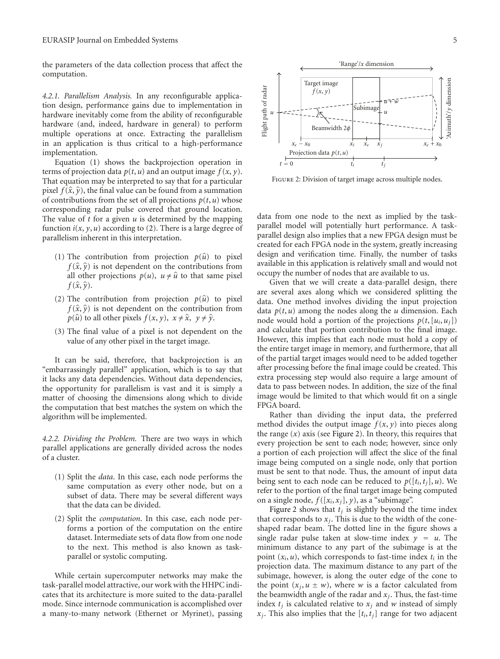the parameters of the data collection process that affect the computation.

*4.2.1. Parallelism Analysis.* In any reconfigurable application design, performance gains due to implementation in hardware inevitably come from the ability of reconfigurable hardware (and, indeed, hardware in general) to perform multiple operations at once. Extracting the parallelism in an application is thus critical to a high-performance implementation.

Equation (1) shows the backprojection operation in terms of projection data  $p(t, u)$  and an output image  $f(x, y)$ . That equation may be interpreted to say that for a particular pixel  $f(\hat{x}, \hat{y})$ , the final value can be found from a summation of contributions from the set of all projections  $p(t, u)$  whose corresponding radar pulse covered that ground location. The value of *t* for a given *u* is determined by the mapping function  $i(x, y, u)$  according to (2). There is a large degree of parallelism inherent in this interpretation.

- (1) The contribution from projection  $p(\hat{u})$  to pixel  $f(\hat{x}, \hat{y})$  is not dependent on the contributions from all other projections  $p(u)$ ,  $u \neq \hat{u}$  to that same pixel  $f(\hat{x}, \hat{y})$ .
- (2) The contribution from projection  $p(\hat{u})$  to pixel  $f(\hat{x}, \hat{y})$  is not dependent on the contribution from  $p(\hat{u})$  to all other pixels  $f(x, y)$ ,  $x \neq \hat{x}$ ,  $y \neq \hat{y}$ .
- (3) The final value of a pixel is not dependent on the value of any other pixel in the target image.

It can be said, therefore, that backprojection is an "embarrassingly parallel" application, which is to say that it lacks any data dependencies. Without data dependencies, the opportunity for parallelism is vast and it is simply a matter of choosing the dimensions along which to divide the computation that best matches the system on which the algorithm will be implemented.

*4.2.2. Dividing the Problem.* There are two ways in which parallel applications are generally divided across the nodes of a cluster.

- (1) Split the *data*. In this case, each node performs the same computation as every other node, but on a subset of data. There may be several different ways that the data can be divided.
- (2) Split the *computation*. In this case, each node performs a portion of the computation on the entire dataset. Intermediate sets of data flow from one node to the next. This method is also known as taskparallel or systolic computing.

While certain supercomputer networks may make the task-parallel model attractive, our work with the HHPC indicates that its architecture is more suited to the data-parallel mode. Since internode communication is accomplished over a many-to-many network (Ethernet or Myrinet), passing



Figure 2: Division of target image across multiple nodes.

data from one node to the next as implied by the taskparallel model will potentially hurt performance. A taskparallel design also implies that a new FPGA design must be created for each FPGA node in the system, greatly increasing design and verification time. Finally, the number of tasks available in this application is relatively small and would not occupy the number of nodes that are available to us.

Given that we will create a data-parallel design, there are several axes along which we considered splitting the data. One method involves dividing the input projection data  $p(t, u)$  among the nodes along the *u* dimension. Each node would hold a portion of the projections  $p(t, [u_i, u_j])$ and calculate that portion contribution to the final image. However, this implies that each node must hold a copy of the entire target image in memory, and furthermore, that all of the partial target images would need to be added together after processing before the final image could be created. This extra processing step would also require a large amount of data to pass between nodes. In addition, the size of the final image would be limited to that which would fit on a single FPGA board.

Rather than dividing the input data, the preferred method divides the output image  $f(x, y)$  into pieces along the range  $(x)$  axis (see Figure 2). In theory, this requires that every projection be sent to each node; however, since only a portion of each projection will affect the slice of the final image being computed on a single node, only that portion must be sent to that node. Thus, the amount of input data being sent to each node can be reduced to  $p([t_i, t_i], u)$ . We refer to the portion of the final target image being computed on a single node,  $f([x_i, x_j], y)$ , as a "subimage".

Figure 2 shows that  $t_i$  is slightly beyond the time index that corresponds to  $x_j$ . This is due to the width of the coneshaped radar beam. The dotted line in the figure shows a single radar pulse taken at slow-time index  $y = u$ . The minimum distance to any part of the subimage is at the point  $(x_i, u)$ , which corresponds to fast-time index  $t_i$  in the projection data. The maximum distance to any part of the subimage, however, is along the outer edge of the cone to the point  $(x_i, u \pm w)$ , where *w* is a factor calculated from the beamwidth angle of the radar and  $x_j$ . Thus, the fast-time index  $t_i$  is calculated relative to  $x_i$  and  $w$  instead of simply  $x_j$ . This also implies that the  $[t_i, t_j]$  range for two adjacent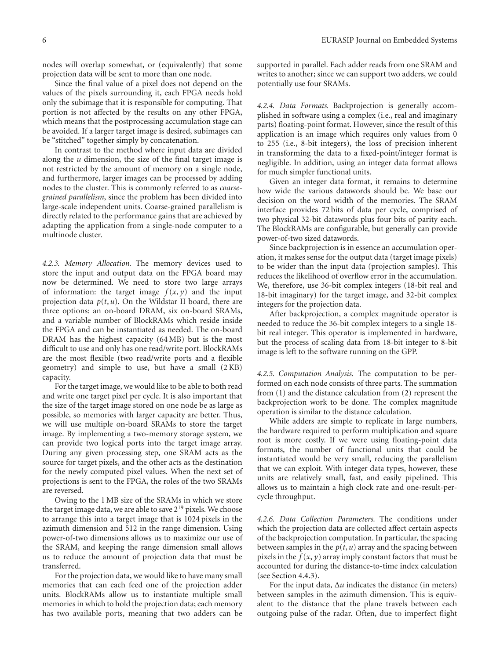nodes will overlap somewhat, or (equivalently) that some projection data will be sent to more than one node.

Since the final value of a pixel does not depend on the values of the pixels surrounding it, each FPGA needs hold only the subimage that it is responsible for computing. That portion is not affected by the results on any other FPGA, which means that the postprocessing accumulation stage can be avoided. If a larger target image is desired, subimages can be "stitched" together simply by concatenation.

In contrast to the method where input data are divided along the *u* dimension, the size of the final target image is not restricted by the amount of memory on a single node, and furthermore, larger images can be processed by adding nodes to the cluster. This is commonly referred to as *coarsegrained parallelism*, since the problem has been divided into large-scale independent units. Coarse-grained parallelism is directly related to the performance gains that are achieved by adapting the application from a single-node computer to a multinode cluster.

*4.2.3. Memory Allocation.* The memory devices used to store the input and output data on the FPGA board may now be determined. We need to store two large arrays of information: the target image  $f(x, y)$  and the input projection data  $p(t, u)$ . On the Wildstar II board, there are three options: an on-board DRAM, six on-board SRAMs, and a variable number of BlockRAMs which reside inside the FPGA and can be instantiated as needed. The on-board DRAM has the highest capacity (64 MB) but is the most difficult to use and only has one read/write port. BlockRAMs are the most flexible (two read/write ports and a flexible geometry) and simple to use, but have a small (2 KB) capacity.

For the target image, we would like to be able to both read and write one target pixel per cycle. It is also important that the size of the target image stored on one node be as large as possible, so memories with larger capacity are better. Thus, we will use multiple on-board SRAMs to store the target image. By implementing a two-memory storage system, we can provide two logical ports into the target image array. During any given processing step, one SRAM acts as the source for target pixels, and the other acts as the destination for the newly computed pixel values. When the next set of projections is sent to the FPGA, the roles of the two SRAMs are reversed.

Owing to the 1 MB size of the SRAMs in which we store the target image data, we are able to save 219 pixels. We choose to arrange this into a target image that is 1024 pixels in the azimuth dimension and 512 in the range dimension. Using power-of-two dimensions allows us to maximize our use of the SRAM, and keeping the range dimension small allows us to reduce the amount of projection data that must be transferred.

For the projection data, we would like to have many small memories that can each feed one of the projection adder units. BlockRAMs allow us to instantiate multiple small memories in which to hold the projection data; each memory has two available ports, meaning that two adders can be supported in parallel. Each adder reads from one SRAM and writes to another; since we can support two adders, we could potentially use four SRAMs.

*4.2.4. Data Formats.* Backprojection is generally accomplished in software using a complex (i.e., real and imaginary parts) floating-point format. However, since the result of this application is an image which requires only values from 0 to 255 (i.e., 8-bit integers), the loss of precision inherent in transforming the data to a fixed-point/integer format is negligible. In addition, using an integer data format allows for much simpler functional units.

Given an integer data format, it remains to determine how wide the various datawords should be. We base our decision on the word width of the memories. The SRAM interface provides 72 bits of data per cycle, comprised of two physical 32-bit datawords plus four bits of parity each. The BlockRAMs are configurable, but generally can provide power-of-two sized datawords.

Since backprojection is in essence an accumulation operation, it makes sense for the output data (target image pixels) to be wider than the input data (projection samples). This reduces the likelihood of overflow error in the accumulation. We, therefore, use 36-bit complex integers (18-bit real and 18-bit imaginary) for the target image, and 32-bit complex integers for the projection data.

After backprojection, a complex magnitude operator is needed to reduce the 36-bit complex integers to a single 18 bit real integer. This operator is implemented in hardware, but the process of scaling data from 18-bit integer to 8-bit image is left to the software running on the GPP.

*4.2.5. Computation Analysis.* The computation to be performed on each node consists of three parts. The summation from (1) and the distance calculation from (2) represent the backprojection work to be done. The complex magnitude operation is similar to the distance calculation.

While adders are simple to replicate in large numbers, the hardware required to perform multiplication and square root is more costly. If we were using floating-point data formats, the number of functional units that could be instantiated would be very small, reducing the parallelism that we can exploit. With integer data types, however, these units are relatively small, fast, and easily pipelined. This allows us to maintain a high clock rate and one-result-percycle throughput.

*4.2.6. Data Collection Parameters.* The conditions under which the projection data are collected affect certain aspects of the backprojection computation. In particular, the spacing between samples in the  $p(t, u)$  array and the spacing between pixels in the  $f(x, y)$  array imply constant factors that must be accounted for during the distance-to-time index calculation (see Section 4.4.3).

For the input data, Δ*u* indicates the distance (in meters) between samples in the azimuth dimension. This is equivalent to the distance that the plane travels between each outgoing pulse of the radar. Often, due to imperfect flight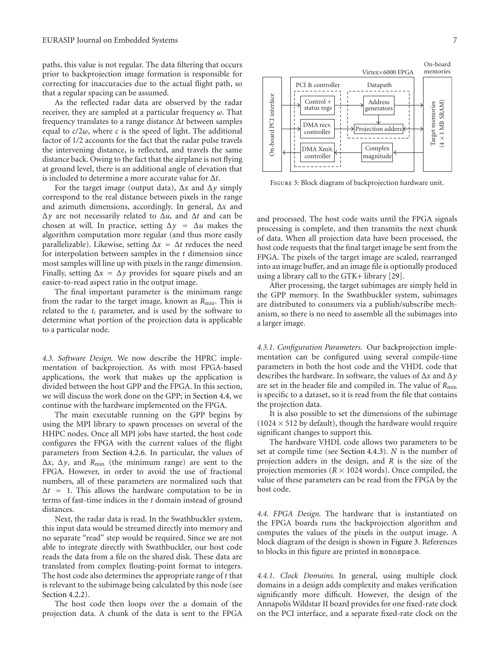paths, this value is not regular. The data filtering that occurs prior to backprojection image formation is responsible for correcting for inaccuracies due to the actual flight path, so that a regular spacing can be assumed.

As the reflected radar data are observed by the radar receiver, they are sampled at a particular frequency *ω*. That frequency translates to a range distance Δ*t* between samples equal to *c/*2*ω*, where *c* is the speed of light. The additional factor of 1*/*2 accounts for the fact that the radar pulse travels the intervening distance, is reflected, and travels the same distance back. Owing to the fact that the airplane is not flying at ground level, there is an additional angle of elevation that is included to determine a more accurate value for Δ*t*.

For the target image (output data), Δ*x* and Δ*y* simply correspond to the real distance between pixels in the range and azimuth dimensions, accordingly. In general, Δ*x* and Δ*y* are not necessarily related to Δ*u*, and Δ*t* and can be chosen at will. In practice, setting  $\Delta y = \Delta u$  makes the algorithm computation more regular (and thus more easily parallelizable). Likewise, setting  $\Delta x = \Delta t$  reduces the need for interpolation between samples in the *t* dimension since most samples will line up with pixels in the range dimension. Finally, setting  $\Delta x = \Delta y$  provides for square pixels and an easier-to-read aspect ratio in the output image.

The final important parameter is the minimum range from the radar to the target image, known as *R*<sub>min</sub>. This is related to the *ti* parameter, and is used by the software to determine what portion of the projection data is applicable to a particular node.

*4.3. Software Design.* We now describe the HPRC implementation of backprojection. As with most FPGA-based applications, the work that makes up the application is divided between the host GPP and the FPGA. In this section, we will discuss the work done on the GPP; in Section 4.4, we continue with the hardware implemented on the FPGA.

The main executable running on the GPP begins by using the MPI library to spawn processes on several of the HHPC nodes. Once all MPI jobs have started, the host code configures the FPGA with the current values of the flight parameters from Section 4.2.6. In particular, the values of Δ*x*, Δ*y*, and *R*min (the minimum range) are sent to the FPGA. However, in order to avoid the use of fractional numbers, all of these parameters are normalized such that  $\Delta t = 1$ . This allows the hardware computation to be in terms of fast-time indices in the *t* domain instead of ground distances.

Next, the radar data is read. In the Swathbuckler system, this input data would be streamed directly into memory and no separate "read" step would be required. Since we are not able to integrate directly with Swathbuckler, our host code reads the data from a file on the shared disk. These data are translated from complex floating-point format to integers. The host code also determines the appropriate range of *t* that is relevant to the subimage being calculated by this node (see Section 4.2.2).

The host code then loops over the *u* domain of the projection data. A chunk of the data is sent to the FPGA



Figure 3: Block diagram of backprojection hardware unit.

and processed. The host code waits until the FPGA signals processing is complete, and then transmits the next chunk of data. When all projection data have been processed, the host code requests that the final target image be sent from the FPGA. The pixels of the target image are scaled, rearranged into an image buffer, and an image file is optionally produced using a library call to the GTK+ library [29].

After processing, the target subimages are simply held in the GPP memory. In the Swathbuckler system, subimages are distributed to consumers via a publish/subscribe mechanism, so there is no need to assemble all the subimages into a larger image.

*4.3.1. Configuration Parameters.* Our backprojection implementation can be configured using several compile-time parameters in both the host code and the VHDL code that describes the hardware. In software, the values of Δ*x* and Δ*y* are set in the header file and compiled in. The value of  $R_{\text{min}}$ is specific to a dataset, so it is read from the file that contains the projection data.

It is also possible to set the dimensions of the subimage  $(1024 \times 512$  by default), though the hardware would require significant changes to support this.

The hardware VHDL code allows two parameters to be set at compile time (see Section 4.4.3). *N* is the number of projection adders in the design, and *R* is the size of the projection memories ( $R \times 1024$  words). Once compiled, the value of these parameters can be read from the FPGA by the host code.

*4.4. FPGA Design.* The hardware that is instantiated on the FPGA boards runs the backprojection algorithm and computes the values of the pixels in the output image. A block diagram of the design is shown in Figure 3. References to blocks in this figure are printed in monospace.

*4.4.1. Clock Domains.* In general, using multiple clock domains in a design adds complexity and makes verification significantly more difficult. However, the design of the Annapolis Wildstar II board provides for one fixed-rate clock on the PCI interface, and a separate fixed-rate clock on the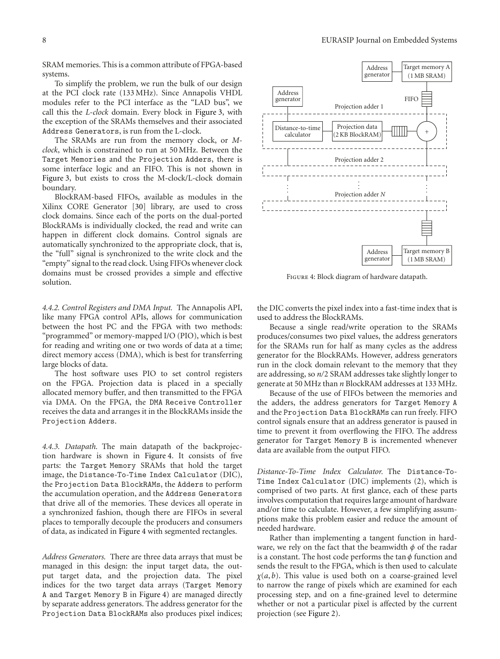SRAM memories. This is a common attribute of FPGA-based systems.

To simplify the problem, we run the bulk of our design at the PCI clock rate (133 MHz). Since Annapolis VHDL modules refer to the PCI interface as the "LAD bus", we call this the *L-clock* domain. Every block in Figure 3, with the exception of the SRAMs themselves and their associated Address Generators, is run from the L-clock.

The SRAMs are run from the memory clock, or *Mclock*, which is constrained to run at 50 MHz. Between the Target Memories and the Projection Adders, there is some interface logic and an FIFO. This is not shown in Figure 3, but exists to cross the M-clock/L-clock domain boundary.

BlockRAM-based FIFOs, available as modules in the Xilinx CORE Generator [30] library, are used to cross clock domains. Since each of the ports on the dual-ported BlockRAMs is individually clocked, the read and write can happen in different clock domains. Control signals are automatically synchronized to the appropriate clock, that is, the "full" signal is synchronized to the write clock and the "empty" signal to the read clock. Using FIFOs whenever clock domains must be crossed provides a simple and effective solution.

*4.4.2. Control Registers and DMA Input.* The Annapolis API, like many FPGA control APIs, allows for communication between the host PC and the FPGA with two methods: "programmed" or memory-mapped I/O (PIO), which is best for reading and writing one or two words of data at a time; direct memory access (DMA), which is best for transferring large blocks of data.

The host software uses PIO to set control registers on the FPGA. Projection data is placed in a specially allocated memory buffer, and then transmitted to the FPGA via DMA. On the FPGA, the DMA Receive Controller receives the data and arranges it in the BlockRAMs inside the Projection Adders.

*4.4.3. Datapath.* The main datapath of the backprojection hardware is shown in Figure 4. It consists of five parts: the Target Memory SRAMs that hold the target image, the Distance-To-Time Index Calculator (DIC), the Projection Data BlockRAMs, the Adders to perform the accumulation operation, and the Address Generators that drive all of the memories. These devices all operate in a synchronized fashion, though there are FIFOs in several places to temporally decouple the producers and consumers of data, as indicated in Figure 4 with segmented rectangles.

*Address Generators.* There are three data arrays that must be managed in this design: the input target data, the output target data, and the projection data. The pixel indices for the two target data arrays (Target Memory A and Target Memory B in Figure 4) are managed directly by separate address generators. The address generator for the Projection Data BlockRAMs also produces pixel indices;



Figure 4: Block diagram of hardware datapath.

the DIC converts the pixel index into a fast-time index that is used to address the BlockRAMs.

Because a single read/write operation to the SRAMs produces/consumes two pixel values, the address generators for the SRAMs run for half as many cycles as the address generator for the BlockRAMs. However, address generators run in the clock domain relevant to the memory that they are addressing, so *n/*2 SRAM addresses take slightly longer to generate at 50 MHz than *n* BlockRAM addresses at 133 MHz.

Because of the use of FIFOs between the memories and the adders, the address generators for Target Memory A and the Projection Data BlockRAMs can run freely. FIFO control signals ensure that an address generator is paused in time to prevent it from overflowing the FIFO. The address generator for Target Memory B is incremented whenever data are available from the output FIFO.

*Distance-To-Time Index Calculator.* The Distance-To-Time Index Calculator (DIC) implements (2), which is comprised of two parts. At first glance, each of these parts involves computation that requires large amount of hardware and/or time to calculate. However, a few simplifying assumptions make this problem easier and reduce the amount of needed hardware.

Rather than implementing a tangent function in hardware, we rely on the fact that the beamwidth *φ* of the radar is a constant. The host code performs the tan *φ* function and sends the result to the FPGA, which is then used to calculate  $\chi(a, b)$ . This value is used both on a coarse-grained level to narrow the range of pixels which are examined for each processing step, and on a fine-grained level to determine whether or not a particular pixel is affected by the current projection (see Figure 2).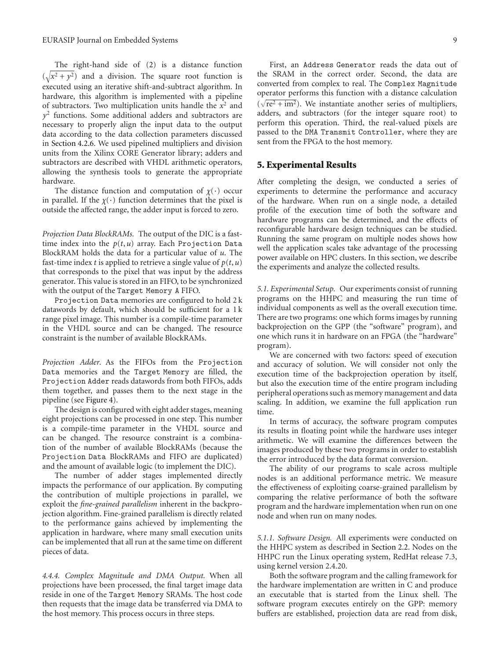The right-hand side of (2) is a distance function  $(\sqrt{x^2 + y^2})$  and a division. The square root function is executed using an iterative shift-and-subtract algorithm. In hardware, this algorithm is implemented with a pipeline of subtractors. Two multiplication units handle the *x*<sup>2</sup> and  $y<sup>2</sup>$  functions. Some additional adders and subtractors are necessary to properly align the input data to the output data according to the data collection parameters discussed in Section 4.2.6. We used pipelined multipliers and division units from the Xilinx CORE Generator library; adders and subtractors are described with VHDL arithmetic operators, allowing the synthesis tools to generate the appropriate hardware.

The distance function and computation of  $\chi(\cdot)$  occur in parallel. If the  $\chi(\cdot)$  function determines that the pixel is outside the affected range, the adder input is forced to zero.

*Projection Data BlockRAMs.* The output of the DIC is a fasttime index into the  $p(t, u)$  array. Each Projection Data BlockRAM holds the data for a particular value of *u*. The fast-time index *t* is applied to retrieve a single value of  $p(t, u)$ that corresponds to the pixel that was input by the address generator. This value is stored in an FIFO, to be synchronized with the output of the Target Memory A FIFO.

Projection Data memories are configured to hold 2 k datawords by default, which should be sufficient for a 1 k range pixel image. This number is a compile-time parameter in the VHDL source and can be changed. The resource constraint is the number of available BlockRAMs.

*Projection Adder.* As the FIFOs from the Projection Data memories and the Target Memory are filled, the Projection Adder reads datawords from both FIFOs, adds them together, and passes them to the next stage in the pipeline (see Figure 4).

The design is configured with eight adder stages, meaning eight projections can be processed in one step. This number is a compile-time parameter in the VHDL source and can be changed. The resource constraint is a combination of the number of available BlockRAMs (because the Projection Data BlockRAMs and FIFO are duplicated) and the amount of available logic (to implement the DIC).

The number of adder stages implemented directly impacts the performance of our application. By computing the contribution of multiple projections in parallel, we exploit the *fine-grained parallelism* inherent in the backprojection algorithm. Fine-grained parallelism is directly related to the performance gains achieved by implementing the application in hardware, where many small execution units can be implemented that all run at the same time on different pieces of data.

*4.4.4. Complex Magnitude and DMA Output.* When all projections have been processed, the final target image data reside in one of the Target Memory SRAMs. The host code then requests that the image data be transferred via DMA to the host memory. This process occurs in three steps.

First, an Address Generator reads the data out of the SRAM in the correct order. Second, the data are converted from complex to real. The Complex Magnitude operator performs this function with a distance calculation  $(\sqrt{re^2 + im^2})$ . We instantiate another series of multipliers, adders, and subtractors (for the integer square root) to perform this operation. Third, the real-valued pixels are passed to the DMA Transmit Controller, where they are sent from the FPGA to the host memory.

#### **5. Experimental Results**

After completing the design, we conducted a series of experiments to determine the performance and accuracy of the hardware. When run on a single node, a detailed profile of the execution time of both the software and hardware programs can be determined, and the effects of reconfigurable hardware design techniques can be studied. Running the same program on multiple nodes shows how well the application scales take advantage of the processing power available on HPC clusters. In this section, we describe the experiments and analyze the collected results.

*5.1. Experimental Setup.* Our experiments consist of running programs on the HHPC and measuring the run time of individual components as well as the overall execution time. There are two programs: one which forms images by running backprojection on the GPP (the "software" program), and one which runs it in hardware on an FPGA (the "hardware" program).

We are concerned with two factors: speed of execution and accuracy of solution. We will consider not only the execution time of the backprojection operation by itself, but also the execution time of the entire program including peripheral operations such as memory management and data scaling. In addition, we examine the full application run time.

In terms of accuracy, the software program computes its results in floating point while the hardware uses integer arithmetic. We will examine the differences between the images produced by these two programs in order to establish the error introduced by the data format conversion.

The ability of our programs to scale across multiple nodes is an additional performance metric. We measure the effectiveness of exploiting coarse-grained parallelism by comparing the relative performance of both the software program and the hardware implementation when run on one node and when run on many nodes.

*5.1.1. Software Design.* All experiments were conducted on the HHPC system as described in Section 2.2. Nodes on the HHPC run the Linux operating system, RedHat release 7.3, using kernel version 2.4.20.

Both the software program and the calling framework for the hardware implementation are written in C and produce an executable that is started from the Linux shell. The software program executes entirely on the GPP: memory buffers are established, projection data are read from disk,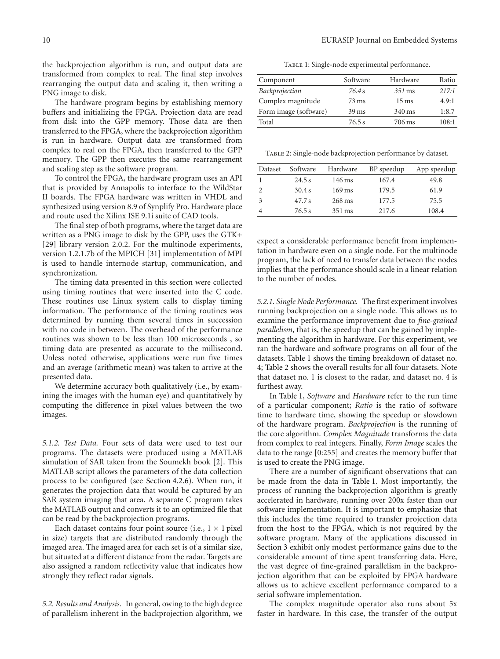the backprojection algorithm is run, and output data are transformed from complex to real. The final step involves rearranging the output data and scaling it, then writing a PNG image to disk.

The hardware program begins by establishing memory buffers and initializing the FPGA. Projection data are read from disk into the GPP memory. Those data are then transferred to the FPGA, where the backprojection algorithm is run in hardware. Output data are transformed from complex to real on the FPGA, then transferred to the GPP memory. The GPP then executes the same rearrangement and scaling step as the software program.

To control the FPGA, the hardware program uses an API that is provided by Annapolis to interface to the WildStar II boards. The FPGA hardware was written in VHDL and synthesized using version 8.9 of Synplify Pro. Hardware place and route used the Xilinx ISE 9.1i suite of CAD tools.

The final step of both programs, where the target data are written as a PNG image to disk by the GPP, uses the GTK+ [29] library version 2.0.2. For the multinode experiments, version 1.2.1.7b of the MPICH [31] implementation of MPI is used to handle internode startup, communication, and synchronization.

The timing data presented in this section were collected using timing routines that were inserted into the C code. These routines use Linux system calls to display timing information. The performance of the timing routines was determined by running them several times in succession with no code in between. The overhead of the performance routines was shown to be less than 100 microseconds , so timing data are presented as accurate to the millisecond. Unless noted otherwise, applications were run five times and an average (arithmetic mean) was taken to arrive at the presented data.

We determine accuracy both qualitatively (i.e., by examining the images with the human eye) and quantitatively by computing the difference in pixel values between the two images.

*5.1.2. Test Data.* Four sets of data were used to test our programs. The datasets were produced using a MATLAB simulation of SAR taken from the Soumekh book [2]. This MATLAB script allows the parameters of the data collection process to be configured (see Section 4.2.6). When run, it generates the projection data that would be captured by an SAR system imaging that area. A separate C program takes the MATLAB output and converts it to an optimized file that can be read by the backprojection programs.

Each dataset contains four point source (i.e.,  $1 \times 1$  pixel in size) targets that are distributed randomly through the imaged area. The imaged area for each set is of a similar size, but situated at a different distance from the radar. Targets are also assigned a random reflectivity value that indicates how strongly they reflect radar signals.

*5.2. Results and Analysis.* In general, owing to the high degree of parallelism inherent in the backprojection algorithm, we

TABLE 1: Single-node experimental performance.

| Component             | Software        | Hardware            | Ratio |
|-----------------------|-----------------|---------------------|-------|
| Backprojection        | 76.4 s          | $351 \,\mathrm{ms}$ | 217:1 |
| Complex magnitude     | $73 \text{ ms}$ | $15 \,\mathrm{ms}$  | 4.9:1 |
| Form image (software) | $39 \text{ ms}$ | 340 ms              | 1:8.7 |
| Total                 | 76.5 s          | 706 ms              | 108:1 |
|                       |                 |                     |       |

TABLE 2: Single-node backprojection performance by dataset.

| Dataset | Software | Hardware         | BP speedup | App speedup |
|---------|----------|------------------|------------|-------------|
|         | 24.5 s   | 146 ms           | 167.4      | 49.8        |
|         | 30.4 s   | $169 \text{ ms}$ | 179.5      | 61.9        |
| 3       | 47.7 s   | 268 ms           | 177.5      | 75.5        |
|         | 76.5 s   | $351 \text{ ms}$ | 217.6      | 108.4       |

expect a considerable performance benefit from implementation in hardware even on a single node. For the multinode program, the lack of need to transfer data between the nodes implies that the performance should scale in a linear relation to the number of nodes.

*5.2.1. Single Node Performance.* The first experiment involves running backprojection on a single node. This allows us to examine the performance improvement due to *fine-grained parallelism*, that is, the speedup that can be gained by implementing the algorithm in hardware. For this experiment, we ran the hardware and software programs on all four of the datasets. Table 1 shows the timing breakdown of dataset no. 4; Table 2 shows the overall results for all four datasets. Note that dataset no. 1 is closest to the radar, and dataset no. 4 is furthest away.

In Table 1, *Software* and *Hardware* refer to the run time of a particular component; *Ratio* is the ratio of software time to hardware time, showing the speedup or slowdown of the hardware program. *Backprojection* is the running of the core algorithm. *Complex Magnitude* transforms the data from complex to real integers. Finally, *Form Image* scales the data to the range [0:255] and creates the memory buffer that is used to create the PNG image.

There are a number of significant observations that can be made from the data in Table 1. Most importantly, the process of running the backprojection algorithm is greatly accelerated in hardware, running over 200x faster than our software implementation. It is important to emphasize that this includes the time required to transfer projection data from the host to the FPGA, which is not required by the software program. Many of the applications discussed in Section 3 exhibit only modest performance gains due to the considerable amount of time spent transferring data. Here, the vast degree of fine-grained parallelism in the backprojection algorithm that can be exploited by FPGA hardware allows us to achieve excellent performance compared to a serial software implementation.

The complex magnitude operator also runs about 5x faster in hardware. In this case, the transfer of the output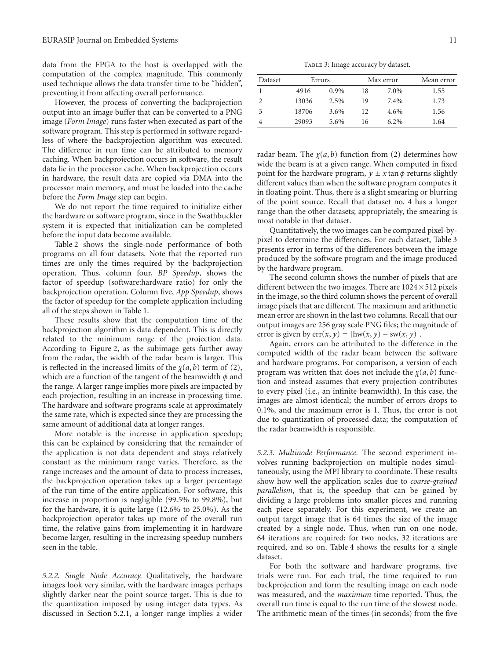data from the FPGA to the host is overlapped with the computation of the complex magnitude. This commonly used technique allows the data transfer time to be "hidden", preventing it from affecting overall performance.

However, the process of converting the backprojection output into an image buffer that can be converted to a PNG image (*Form Image*) runs faster when executed as part of the software program. This step is performed in software regardless of where the backprojection algorithm was executed. The difference in run time can be attributed to memory caching. When backprojection occurs in software, the result data lie in the processor cache. When backprojection occurs in hardware, the result data are copied via DMA into the processor main memory, and must be loaded into the cache before the *Form Image* step can begin.

We do not report the time required to initialize either the hardware or software program, since in the Swathbuckler system it is expected that initialization can be completed before the input data become available.

Table 2 shows the single-node performance of both programs on all four datasets. Note that the reported run times are only the times required by the backprojection operation. Thus, column four, *BP Speedup*, shows the factor of speedup (software:hardware ratio) for only the backprojection operation. Column five, *App Speedup*, shows the factor of speedup for the complete application including all of the steps shown in Table 1.

These results show that the computation time of the backprojection algorithm is data dependent. This is directly related to the minimum range of the projection data. According to Figure 2, as the subimage gets further away from the radar, the width of the radar beam is larger. This is reflected in the increased limits of the  $\chi(a, b)$  term of (2), which are a function of the tangent of the beamwidth *φ* and the range. A larger range implies more pixels are impacted by each projection, resulting in an increase in processing time. The hardware and software programs scale at approximately the same rate, which is expected since they are processing the same amount of additional data at longer ranges.

More notable is the increase in application speedup; this can be explained by considering that the remainder of the application is not data dependent and stays relatively constant as the minimum range varies. Therefore, as the range increases and the amount of data to process increases, the backprojection operation takes up a larger percentage of the run time of the entire application. For software, this increase in proportion is negligible (99.5% to 99.8%), but for the hardware, it is quite large (12.6% to 25.0%). As the backprojection operator takes up more of the overall run time, the relative gains from implementing it in hardware become larger, resulting in the increasing speedup numbers seen in the table.

*5.2.2. Single Node Accuracy.* Qualitatively, the hardware images look very similar, with the hardware images perhaps slightly darker near the point source target. This is due to the quantization imposed by using integer data types. As discussed in Section 5.2.1, a longer range implies a wider

TABLE 3: Image accuracy by dataset.

| Dataset |       | Errors  |    | Max error | Mean error |
|---------|-------|---------|----|-----------|------------|
|         | 4916  | $0.9\%$ | 18 | 7.0%      | 1.55       |
|         | 13036 | $2.5\%$ | 19 | 7.4%      | 1.73       |
| 3       | 18706 | 3.6%    | 12 | 4.6%      | 1.56       |
| 4       | 29093 | 5.6%    | 16 | $6.2\%$   | 1.64       |
|         |       |         |    |           |            |

radar beam. The  $\chi(a, b)$  function from (2) determines how wide the beam is at a given range. When computed in fixed point for the hardware program,  $y \pm x \tan \phi$  returns slightly different values than when the software program computes it in floating point. Thus, there is a slight smearing or blurring of the point source. Recall that dataset no. 4 has a longer range than the other datasets; appropriately, the smearing is most notable in that dataset.

Quantitatively, the two images can be compared pixel-bypixel to determine the differences. For each dataset, Table 3 presents error in terms of the differences between the image produced by the software program and the image produced by the hardware program.

The second column shows the number of pixels that are different between the two images. There are  $1024 \times 512$  pixels in the image, so the third column shows the percent of overall image pixels that are different. The maximum and arithmetic mean error are shown in the last two columns. Recall that our output images are 256 gray scale PNG files; the magnitude of error is given by  $err(x, y) = |hw(x, y) - sw(x, y)|$ .

Again, errors can be attributed to the difference in the computed width of the radar beam between the software and hardware programs. For comparison, a version of each program was written that does not include the  $\chi(a, b)$  function and instead assumes that every projection contributes to every pixel (i.e., an infinite beamwidth). In this case, the images are almost identical; the number of errors drops to 0.1%, and the maximum error is 1. Thus, the error is not due to quantization of processed data; the computation of the radar beamwidth is responsible.

*5.2.3. Multinode Performance.* The second experiment involves running backprojection on multiple nodes simultaneously, using the MPI library to coordinate. These results show how well the application scales due to *coarse-grained parallelism*, that is, the speedup that can be gained by dividing a large problems into smaller pieces and running each piece separately. For this experiment, we create an output target image that is 64 times the size of the image created by a single node. Thus, when run on one node, 64 iterations are required; for two nodes, 32 iterations are required, and so on. Table 4 shows the results for a single dataset.

For both the software and hardware programs, five trials were run. For each trial, the time required to run backprojection and form the resulting image on each node was measured, and the *maximum* time reported. Thus, the overall run time is equal to the run time of the slowest node. The arithmetic mean of the times (in seconds) from the five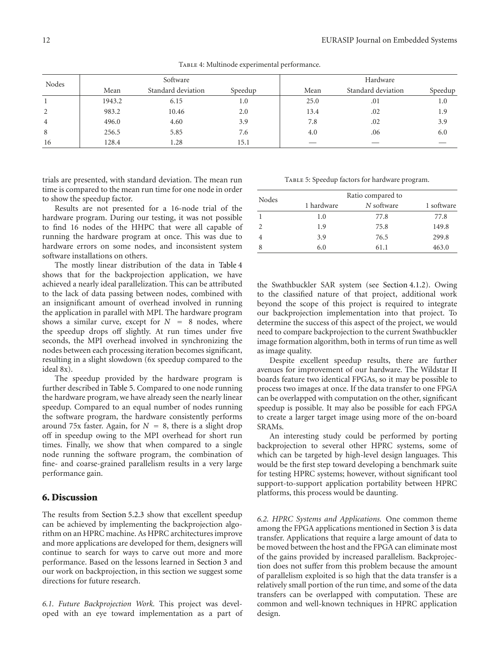| TABLE 4: Multinode experimental performance. |  |
|----------------------------------------------|--|
|                                              |  |

| Nodes          | Software |                    |         |      | Hardware           |         |  |
|----------------|----------|--------------------|---------|------|--------------------|---------|--|
|                | Mean     | Standard deviation | Speedup | Mean | Standard deviation | Speedup |  |
|                | 1943.2   | 6.15               | $1.0\,$ | 25.0 | .01                | 1.0     |  |
| 2              | 983.2    | 10.46              | 2.0     | 13.4 | .02                | 1.9     |  |
| $\overline{4}$ | 496.0    | 4.60               | 3.9     | 7.8  | .02                | 3.9     |  |
| 8              | 256.5    | 5.85               | 7.6     | 4.0  | .06                | 6.0     |  |
| 16             | 128.4    | 1.28               | 15.1    |      |                    |         |  |

trials are presented, with standard deviation. The mean run time is compared to the mean run time for one node in order to show the speedup factor.

Results are not presented for a 16-node trial of the hardware program. During our testing, it was not possible to find 16 nodes of the HHPC that were all capable of running the hardware program at once. This was due to hardware errors on some nodes, and inconsistent system software installations on others.

The mostly linear distribution of the data in Table 4 shows that for the backprojection application, we have achieved a nearly ideal parallelization. This can be attributed to the lack of data passing between nodes, combined with an insignificant amount of overhead involved in running the application in parallel with MPI. The hardware program shows a similar curve, except for  $N = 8$  nodes, where the speedup drops off slightly. At run times under five seconds, the MPI overhead involved in synchronizing the nodes between each processing iteration becomes significant, resulting in a slight slowdown (6x speedup compared to the ideal 8x).

The speedup provided by the hardware program is further described in Table 5. Compared to one node running the hardware program, we have already seen the nearly linear speedup. Compared to an equal number of nodes running the software program, the hardware consistently performs around 75x faster. Again, for  $N = 8$ , there is a slight drop off in speedup owing to the MPI overhead for short run times. Finally, we show that when compared to a single node running the software program, the combination of fine- and coarse-grained parallelism results in a very large performance gain.

#### **6. Discussion**

The results from Section 5.2.3 show that excellent speedup can be achieved by implementing the backprojection algorithm on an HPRC machine. As HPRC architectures improve and more applications are developed for them, designers will continue to search for ways to carve out more and more performance. Based on the lessons learned in Section 3 and our work on backprojection, in this section we suggest some directions for future research.

*6.1. Future Backprojection Work.* This project was developed with an eye toward implementation as a part of

Table 5: Speedup factors for hardware program.

| Nodes          | Ratio compared to |            |            |
|----------------|-------------------|------------|------------|
|                | 1 hardware        | N software | 1 software |
| $\mathbf{1}$   | 1.0               | 77.8       | 77.8       |
| 2              | 1.9               | 75.8       | 149.8      |
| $\overline{4}$ | 3.9               | 76.5       | 299.8      |
| 8              | 6.0               | 61.1       | 463.0      |

the Swathbuckler SAR system (see Section 4.1.2). Owing to the classified nature of that project, additional work beyond the scope of this project is required to integrate our backprojection implementation into that project. To determine the success of this aspect of the project, we would need to compare backprojection to the current Swathbuckler image formation algorithm, both in terms of run time as well as image quality.

Despite excellent speedup results, there are further avenues for improvement of our hardware. The Wildstar II boards feature two identical FPGAs, so it may be possible to process two images at once. If the data transfer to one FPGA can be overlapped with computation on the other, significant speedup is possible. It may also be possible for each FPGA to create a larger target image using more of the on-board SRAMs.

An interesting study could be performed by porting backprojection to several other HPRC systems, some of which can be targeted by high-level design languages. This would be the first step toward developing a benchmark suite for testing HPRC systems; however, without significant tool support-to-support application portability between HPRC platforms, this process would be daunting.

*6.2. HPRC Systems and Applications.* One common theme among the FPGA applications mentioned in Section 3 is data transfer. Applications that require a large amount of data to be moved between the host and the FPGA can eliminate most of the gains provided by increased parallelism. Backprojection does not suffer from this problem because the amount of parallelism exploited is so high that the data transfer is a relatively small portion of the run time, and some of the data transfers can be overlapped with computation. These are common and well-known techniques in HPRC application design.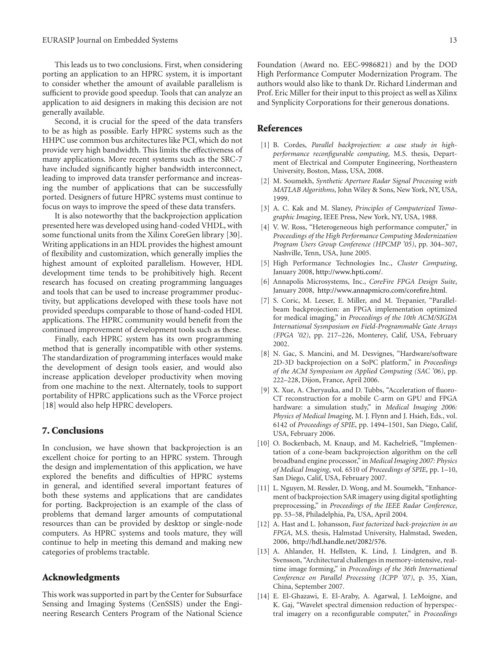#### EURASIP Journal on Embedded Systems 13

This leads us to two conclusions. First, when considering porting an application to an HPRC system, it is important to consider whether the amount of available parallelism is sufficient to provide good speedup. Tools that can analyze an application to aid designers in making this decision are not generally available.

Second, it is crucial for the speed of the data transfers to be as high as possible. Early HPRC systems such as the HHPC use common bus architectures like PCI, which do not provide very high bandwidth. This limits the effectiveness of many applications. More recent systems such as the SRC-7 have included significantly higher bandwidth interconnect, leading to improved data transfer performance and increasing the number of applications that can be successfully ported. Designers of future HPRC systems must continue to focus on ways to improve the speed of these data transfers.

It is also noteworthy that the backprojection application presented here was developed using hand-coded VHDL, with some functional units from the Xilinx CoreGen library [30]. Writing applications in an HDL provides the highest amount of flexibility and customization, which generally implies the highest amount of exploited parallelism. However, HDL development time tends to be prohibitively high. Recent research has focused on creating programming languages and tools that can be used to increase programmer productivity, but applications developed with these tools have not provided speedups comparable to those of hand-coded HDL applications. The HPRC community would benefit from the continued improvement of development tools such as these.

Finally, each HPRC system has its own programming method that is generally incompatible with other systems. The standardization of programming interfaces would make the development of design tools easier, and would also increase application developer productivity when moving from one machine to the next. Alternately, tools to support portability of HPRC applications such as the VForce project [18] would also help HPRC developers.

#### **7. Conclusions**

In conclusion, we have shown that backprojection is an excellent choice for porting to an HPRC system. Through the design and implementation of this application, we have explored the benefits and difficulties of HPRC systems in general, and identified several important features of both these systems and applications that are candidates for porting. Backprojection is an example of the class of problems that demand larger amounts of computational resources than can be provided by desktop or single-node computers. As HPRC systems and tools mature, they will continue to help in meeting this demand and making new categories of problems tractable.

#### **Acknowledgments**

This work was supported in part by the Center for Subsurface Sensing and Imaging Systems (CenSSIS) under the Engineering Research Centers Program of the National Science

#### **References**

[1] B. Cordes, *Parallel backprojection: a case study in highperformance reconfigurable computing*, M.S. thesis, Department of Electrical and Computer Engineering, Northeastern University, Boston, Mass, USA, 2008.

Prof. Eric Miller for their input to this project as well as Xilinx and Synplicity Corporations for their generous donations.

- [2] M. Soumekh, *Synthetic Aperture Radar Signal Processing with MATLAB Algorithms*, John Wiley & Sons, New York, NY, USA, 1999.
- [3] A. C. Kak and M. Slaney, *Principles of Computerized Tomographic Imaging*, IEEE Press, New York, NY, USA, 1988.
- [4] V. W. Ross, "Heterogeneous high performance computer," in *Proceedings of the High Performance Computing Modernization Program Users Group Conference (HPCMP '05)*, pp. 304–307, Nashville, Tenn, USA, June 2005.
- [5] High Performance Technologies Inc., *Cluster Computing*, January 2008, http://www.hpti.com/.
- [6] Annapolis Microsystems, Inc., *CoreFire FPGA Design Suite*, January 2008, http://www.annapmicro.com/corefire.html.
- [7] S. Coric, M. Leeser, E. Miller, and M. Trepanier, "Parallelbeam backprojection: an FPGA implementation optimized for medical imaging," in *Proceedings of the 10th ACM/SIGDA International Sysmposium on Field-Programmable Gate Arrays (FPGA '02)*, pp. 217–226, Monterey, Calif, USA, February 2002.
- [8] N. Gac, S. Mancini, and M. Desvignes, "Hardware/software 2D-3D backprojection on a SoPC platform," in *Proceedings of the ACM Symposium on Applied Computing (SAC '06)*, pp. 222–228, Dijon, France, April 2006.
- [9] X. Xue, A. Cheryauka, and D. Tubbs, "Acceleration of fluoro-CT reconstruction for a mobile C-arm on GPU and FPGA hardware: a simulation study," in *Medical Imaging 2006: Physics of Medical Imaging*, M. J. Flynn and J. Hsieh, Eds., vol. 6142 of *Proceedings of SPIE*, pp. 1494–1501, San Diego, Calif, USA, February 2006.
- [10] O. Bockenbach, M. Knaup, and M. Kachelrieß, "Implementation of a cone-beam backprojection algorithm on the cell broadband engine processor," in *Medical Imaging 2007: Physics of Medical Imaging*, vol. 6510 of *Proceedings of SPIE*, pp. 1–10, San Diego, Calif, USA, February 2007.
- [11] L. Nguyen, M. Ressler, D. Wong, and M. Soumekh, "Enhancement of backprojection SAR imagery using digital spotlighting preprocessing," in *Proceedings of the IEEE Radar Conference*, pp. 53–58, Philadelphia, Pa, USA, April 2004.
- [12] A. Hast and L. Johansson, *Fast factorized back-projection in an FPGA*, M.S. thesis, Halmstad University, Halmstad, Sweden, 2006, http://hdl.handle.net/2082/576.
- [13] A. Ahlander, H. Hellsten, K. Lind, J. Lindgren, and B. Svensson, "Architectural challenges in memory-intensive, realtime image forming," in *Proceedings of the 36th International Conference on Parallel Processing (ICPP '07)*, p. 35, Xian, China, September 2007.
- [14] E. El-Ghazawi, E. El-Araby, A. Agarwal, J. LeMoigne, and K. Gaj, "Wavelet spectral dimension reduction of hyperspectral imagery on a reconfigurable computer," in *Proceedings*